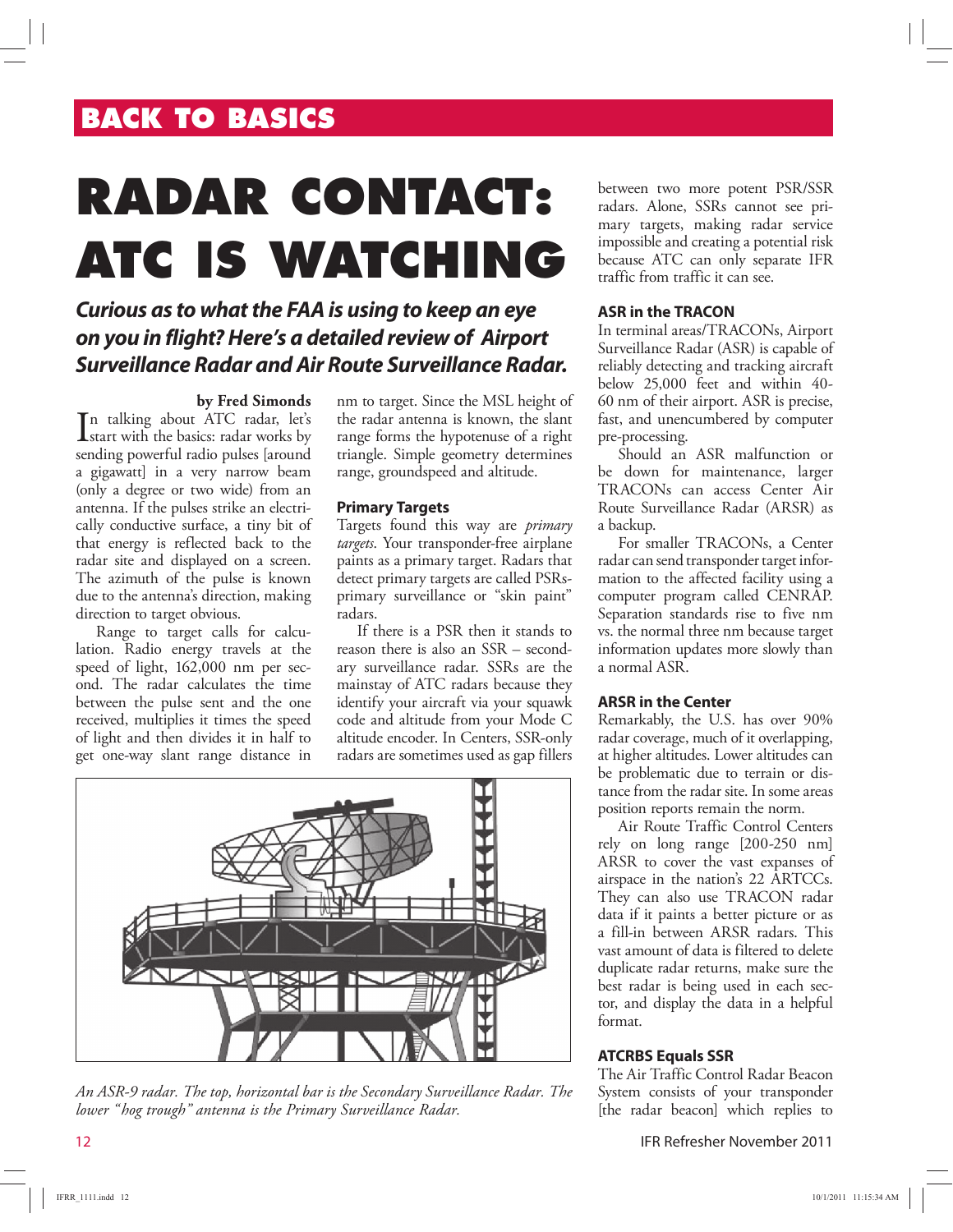# **BACK TO BASICS**

# **RADAR CONTACT: ATC IS WATCHING**

## **Curious as to what the FAA is using to keep an eye on you in flight? Here's a detailed review of Airport Surveillance Radar and Air Route Surveillance Radar.**

#### **by Fred Simonds**

In talking about ATC radar, let's<br>start with the basics: radar works by start with the basics: radar works by sending powerful radio pulses [around a gigawatt] in a very narrow beam (only a degree or two wide) from an antenna. If the pulses strike an electrically conductive surface, a tiny bit of that energy is reflected back to the radar site and displayed on a screen. The azimuth of the pulse is known due to the antenna's direction, making direction to target obvious.

Range to target calls for calculation. Radio energy travels at the speed of light, 162,000 nm per second. The radar calculates the time between the pulse sent and the one received, multiplies it times the speed of light and then divides it in half to get one-way slant range distance in

nm to target. Since the MSL height of the radar antenna is known, the slant range forms the hypotenuse of a right triangle. Simple geometry determines range, groundspeed and altitude.

#### **Primary Targets**

Targets found this way are *primary targets*. Your transponder-free airplane paints as a primary target. Radars that detect primary targets are called PSRsprimary surveillance or "skin paint" radars.

If there is a PSR then it stands to reason there is also an SSR – secondary surveillance radar. SSRs are the mainstay of ATC radars because they identify your aircraft via your squawk code and altitude from your Mode C altitude encoder. In Centers, SSR-only radars are sometimes used as gap fillers



*An ASR-9 radar. The top, horizontal bar is the Secondary Surveillance Radar. The lower "hog trough" antenna is the Primary Surveillance Radar.*

between two more potent PSR/SSR radars. Alone, SSRs cannot see primary targets, making radar service impossible and creating a potential risk because ATC can only separate IFR traffic from traffic it can see.

#### **ASR in the TRACON**

In terminal areas/TRACONs, Airport Surveillance Radar (ASR) is capable of reliably detecting and tracking aircraft below 25,000 feet and within 40- 60 nm of their airport. ASR is precise, fast, and unencumbered by computer pre-processing.

Should an ASR malfunction or be down for maintenance, larger TRACONs can access Center Air Route Surveillance Radar (ARSR) as a backup.

For smaller TRACONs, a Center radar can send transponder target information to the affected facility using a computer program called CENRAP. Separation standards rise to five nm vs. the normal three nm because target information updates more slowly than a normal ASR.

#### **ARSR in the Center**

Remarkably, the U.S. has over 90% radar coverage, much of it overlapping, at higher altitudes. Lower altitudes can be problematic due to terrain or distance from the radar site. In some areas position reports remain the norm.

Air Route Traffic Control Centers rely on long range [200-250 nm] ARSR to cover the vast expanses of airspace in the nation's 22 ARTCCs. They can also use TRACON radar data if it paints a better picture or as a fill-in between ARSR radars. This vast amount of data is filtered to delete duplicate radar returns, make sure the best radar is being used in each sector, and display the data in a helpful format.

#### **ATCRBS Equals SSR**

The Air Traffic Control Radar Beacon System consists of your transponder [the radar beacon] which replies to

12 IFR Refresher November 2011